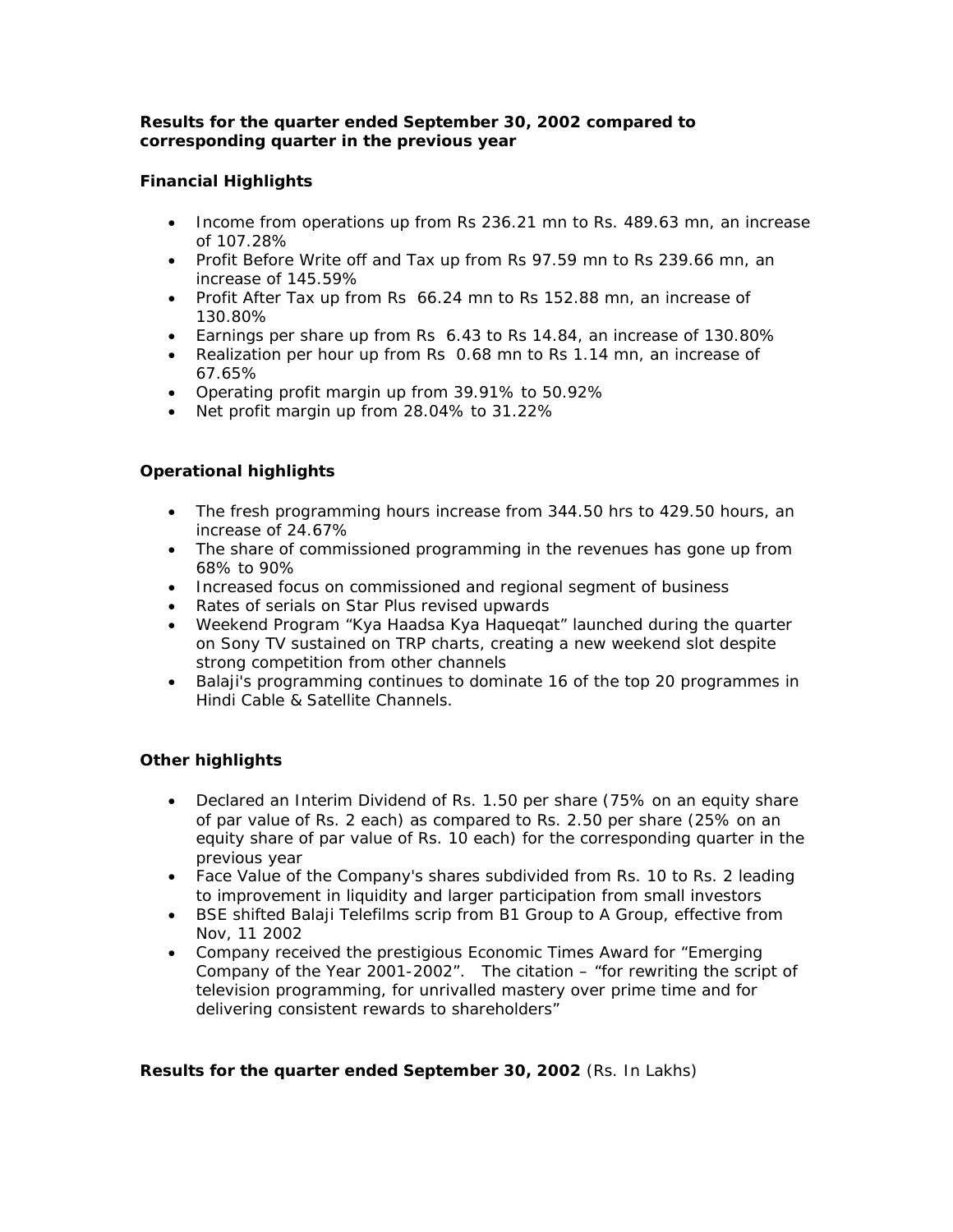# *Results for the quarter ended September 30, 2002 compared to corresponding quarter in the previous year*

# **Financial Highlights**

- Income from operations up from Rs 236.21 mn to Rs. 489.63 mn, an increase of 107.28%
- Profit Before Write off and Tax up from Rs 97.59 mn to Rs 239.66 mn, an increase of 145.59%
- Profit After Tax up from Rs 66.24 mn to Rs 152.88 mn, an increase of 130.80%
- Earnings per share up from Rs 6.43 to Rs 14.84, an increase of 130.80%
- Realization per hour up from Rs 0.68 mn to Rs 1.14 mn, an increase of 67.65%
- Operating profit margin up from 39.91% to 50.92%
- Net profit margin up from 28.04% to 31.22%

# **Operational highlights**

- The fresh programming hours increase from 344.50 hrs to 429.50 hours, an increase of 24.67%
- The share of commissioned programming in the revenues has gone up from 68% to 90%
- Increased focus on commissioned and regional segment of business
- Rates of serials on Star Plus revised upwards
- Weekend Program "Kya Haadsa Kya Haqueqat" launched during the quarter on Sony TV sustained on TRP charts, creating a new weekend slot despite strong competition from other channels
- Balaji's programming continues to dominate 16 of the top 20 programmes in Hindi Cable & Satellite Channels.

# **Other highlights**

- Declared an Interim Dividend of Rs. 1.50 per share (75% on an equity share of par value of Rs. 2 each) as compared to Rs. 2.50 per share (25% on an equity share of par value of Rs. 10 each) for the corresponding quarter in the previous year
- Face Value of the Company's shares subdivided from Rs. 10 to Rs. 2 leading to improvement in liquidity and larger participation from small investors
- BSE shifted Balaji Telefilms scrip from B1 Group to A Group, effective from Nov, 11 2002
- Company received the prestigious Economic Times Award for "Emerging Company of the Year 2001-2002". The citation – *"for rewriting the script of television programming, for unrivalled mastery over prime time and for delivering consistent rewards to shareholders"*

# **Results for the quarter ended September 30, 2002** (Rs. In Lakhs)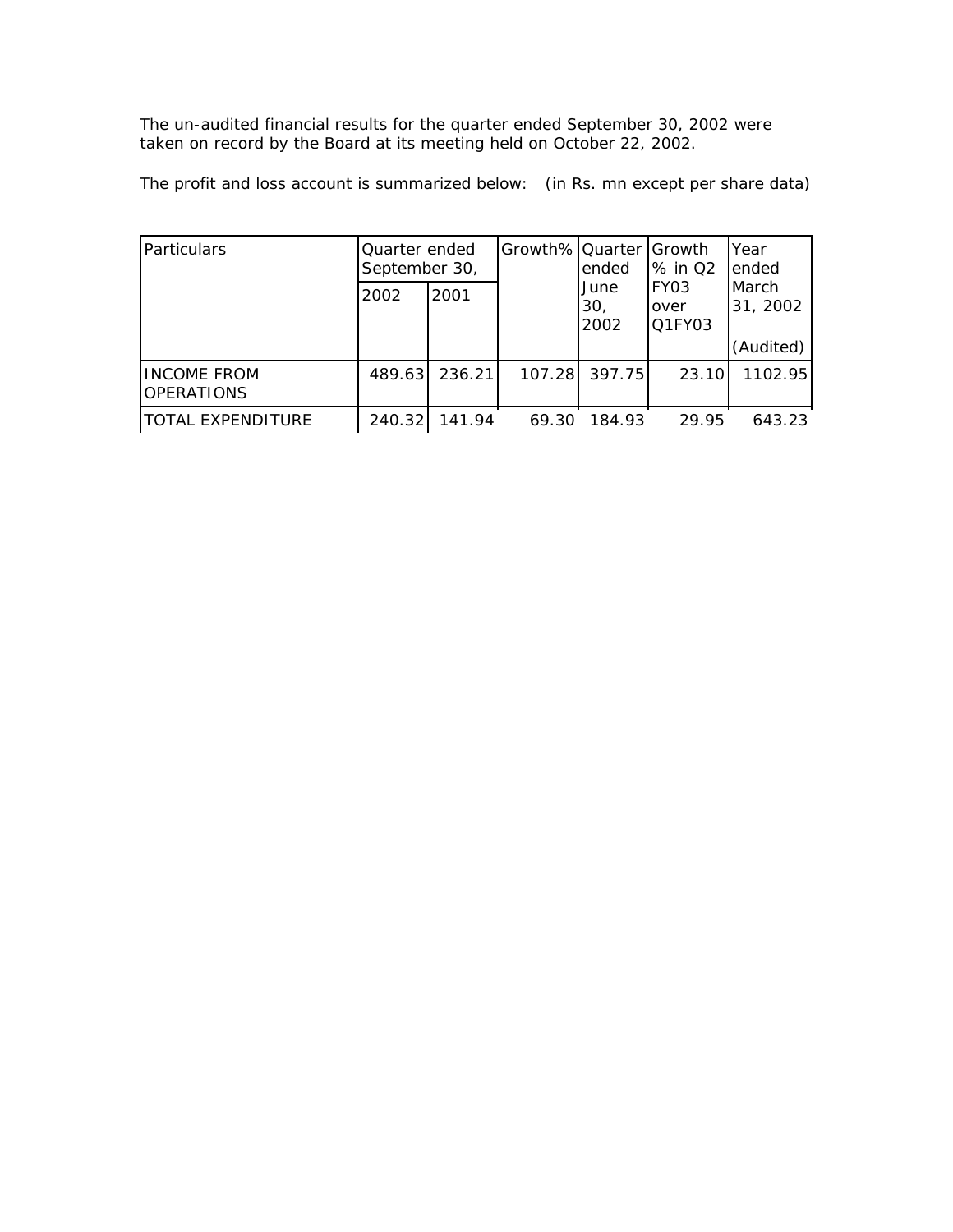The un-audited financial results for the quarter ended September 30, 2002 were taken on record by the Board at its meeting held on October 22, 2002.

The profit and loss account is summarized below: (in Rs. mn except per share data)

| Particulars                             | Quarter ended<br>September 30, |        | Growth%   Quarter   Growth | ended                                                                 | % in Q2 | Year<br>ended       |
|-----------------------------------------|--------------------------------|--------|----------------------------|-----------------------------------------------------------------------|---------|---------------------|
|                                         | 2002                           | 2001   |                            | FY <sub>03</sub><br>June<br>30 <sub>1</sub><br>over<br>2002<br>Q1FY03 |         | l March<br>31, 2002 |
|                                         |                                |        |                            |                                                                       |         | (Audited)           |
| <b>INCOME FROM</b><br><b>OPERATIONS</b> | 489.63                         | 236.21 | 107.28                     | 397.75                                                                | 23.10   | 1102.95             |
| ITOTAL EXPENDITURE                      | 240.32                         | 141.94 | 69.30                      | 184.93                                                                | 29.95   | 643.23              |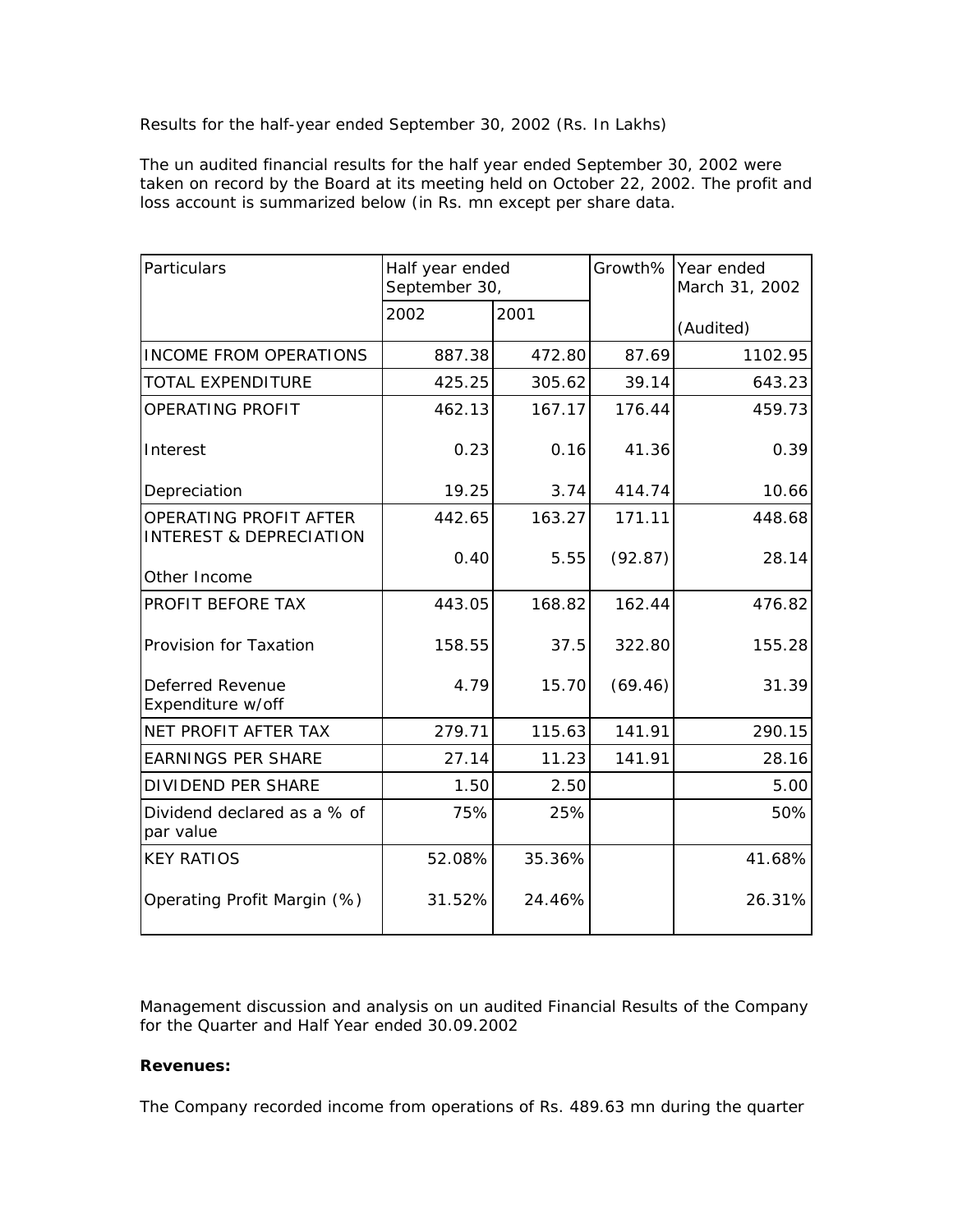Results for the half-year ended September 30, 2002 (Rs. In Lakhs)

The un audited financial results for the half year ended September 30, 2002 were taken on record by the Board at its meeting held on October 22, 2002. The profit and loss account is summarized below (in Rs. mn except per share data.

| Particulars                                                  | Half year ended<br>September 30, |        |         | Growth%   Year ended<br>March 31, 2002 |
|--------------------------------------------------------------|----------------------------------|--------|---------|----------------------------------------|
|                                                              | 2002                             | 2001   |         | (Audited)                              |
| <b>INCOME FROM OPERATIONS</b>                                | 887.38                           | 472.80 | 87.69   | 1102.95                                |
| <b>TOTAL EXPENDITURE</b>                                     | 425.25                           | 305.62 | 39.14   | 643.23                                 |
| OPERATING PROFIT                                             | 462.13                           | 167.17 | 176.44  | 459.73                                 |
| Interest                                                     | 0.23                             | 0.16   | 41.36   | 0.39                                   |
| Depreciation                                                 | 19.25                            | 3.74   | 414.74  | 10.66                                  |
| OPERATING PROFIT AFTER<br><b>INTEREST &amp; DEPRECIATION</b> | 442.65                           | 163.27 | 171.11  | 448.68                                 |
| Other Income                                                 | 0.40                             | 5.55   | (92.87) | 28.14                                  |
| PROFIT BEFORE TAX                                            | 443.05                           | 168.82 | 162.44  | 476.82                                 |
| Provision for Taxation                                       | 158.55                           | 37.5   | 322.80  | 155.28                                 |
| Deferred Revenue<br>Expenditure w/off                        | 4.79                             | 15.70  | (69.46) | 31.39                                  |
| NET PROFIT AFTER TAX                                         | 279.71                           | 115.63 | 141.91  | 290.15                                 |
| <b>EARNINGS PER SHARE</b>                                    | 27.14                            | 11.23  | 141.91  | 28.16                                  |
| <b>DIVIDEND PER SHARE</b>                                    | 1.50                             | 2.50   |         | 5.00                                   |
| Dividend declared as a % of<br>par value                     | 75%                              | 25%    |         | 50%                                    |
| <b>KEY RATIOS</b>                                            | 52.08%                           | 35.36% |         | 41.68%                                 |
| Operating Profit Margin (%)                                  | 31.52%                           | 24.46% |         | 26.31%                                 |

Management discussion and analysis on un audited Financial Results of the Company for the Quarter and Half Year ended 30.09.2002

#### **Revenues:**

The Company recorded income from operations of Rs. 489.63 mn during the quarter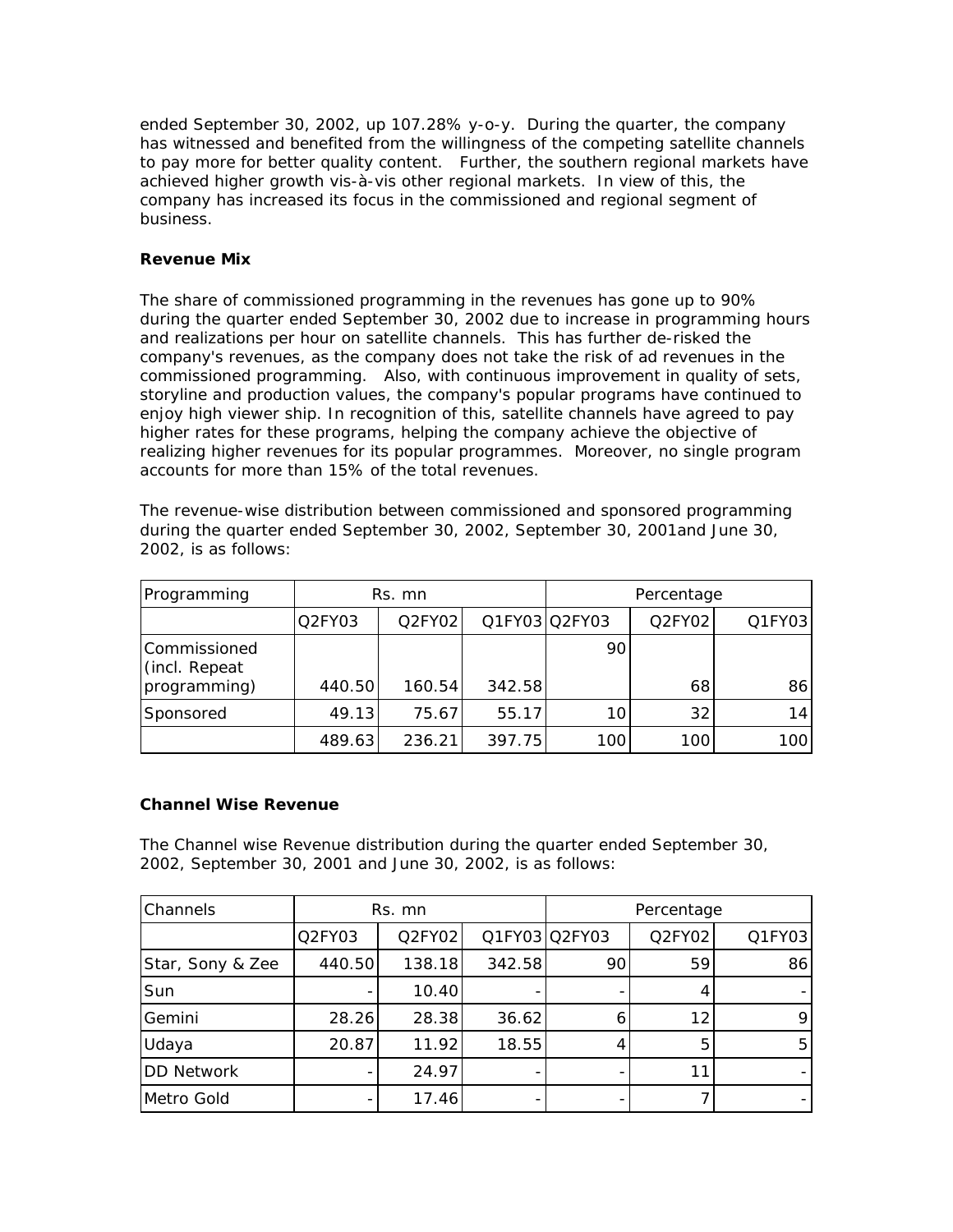ended September 30, 2002, up 107.28% y-o-y. During the quarter, the company has witnessed and benefited from the willingness of the competing satellite channels to pay more for better quality content. Further, the southern regional markets have achieved higher growth vis-à-vis other regional markets. In view of this, the company has increased its focus in the commissioned and regional segment of business.

## **Revenue Mix**

The share of commissioned programming in the revenues has gone up to 90% during the quarter ended September 30, 2002 due to increase in programming hours and realizations per hour on satellite channels. This has further de-risked the company's revenues, as the company does not take the risk of ad revenues in the commissioned programming. Also, with continuous improvement in quality of sets, storyline and production values, the company's popular programs have continued to enjoy high viewer ship. In recognition of this, satellite channels have agreed to pay higher rates for these programs, helping the company achieve the objective of realizing higher revenues for its popular programmes. Moreover, no single program accounts for more than 15% of the total revenues.

The revenue-wise distribution between commissioned and sponsored programming during the quarter ended September 30, 2002, September 30, 2001and June 30, 2002, is as follows:

| Programming                                   | Rs. mn |        |        |               | Percentage |                 |
|-----------------------------------------------|--------|--------|--------|---------------|------------|-----------------|
|                                               | Q2FY03 | Q2FY02 |        | Q1FY03 Q2FY03 | Q2FY02     | $Q1$ FY03       |
| Commissioned<br>(incl. Repeat<br>programming) | 440.50 | 160.54 | 342.58 | 90            | 68         | 86              |
| Sponsored                                     | 49.13  | 75.67  | 55.17  | 10            | 32         | 14 <sup>1</sup> |
|                                               | 489.63 | 236.21 | 397.75 | 100           | 100        | 100             |

#### **Channel Wise Revenue**

The Channel wise Revenue distribution during the quarter ended September 30, 2002, September 30, 2001 and June 30, 2002, is as follows:

| Channels          | Rs. mn |        |        | Percentage    |        |           |
|-------------------|--------|--------|--------|---------------|--------|-----------|
|                   | Q2FY03 | Q2FY02 |        | Q1FY03 Q2FY03 | Q2FY02 | $Q1$ FY03 |
| Star, Sony & Zee  | 440.50 | 138.18 | 342.58 | 90            | 59     | 86        |
| Sun               |        | 10.40  |        |               |        |           |
| Gemini            | 28.26  | 28.38  | 36.62  | 6             | 12     | 9.        |
| Udaya             | 20.87  | 11.92  | 18.55  | 4             | 5      | 5         |
| <b>DD Network</b> |        | 24.97  |        |               | 11     |           |
| Metro Gold        |        | 17.46  |        |               |        |           |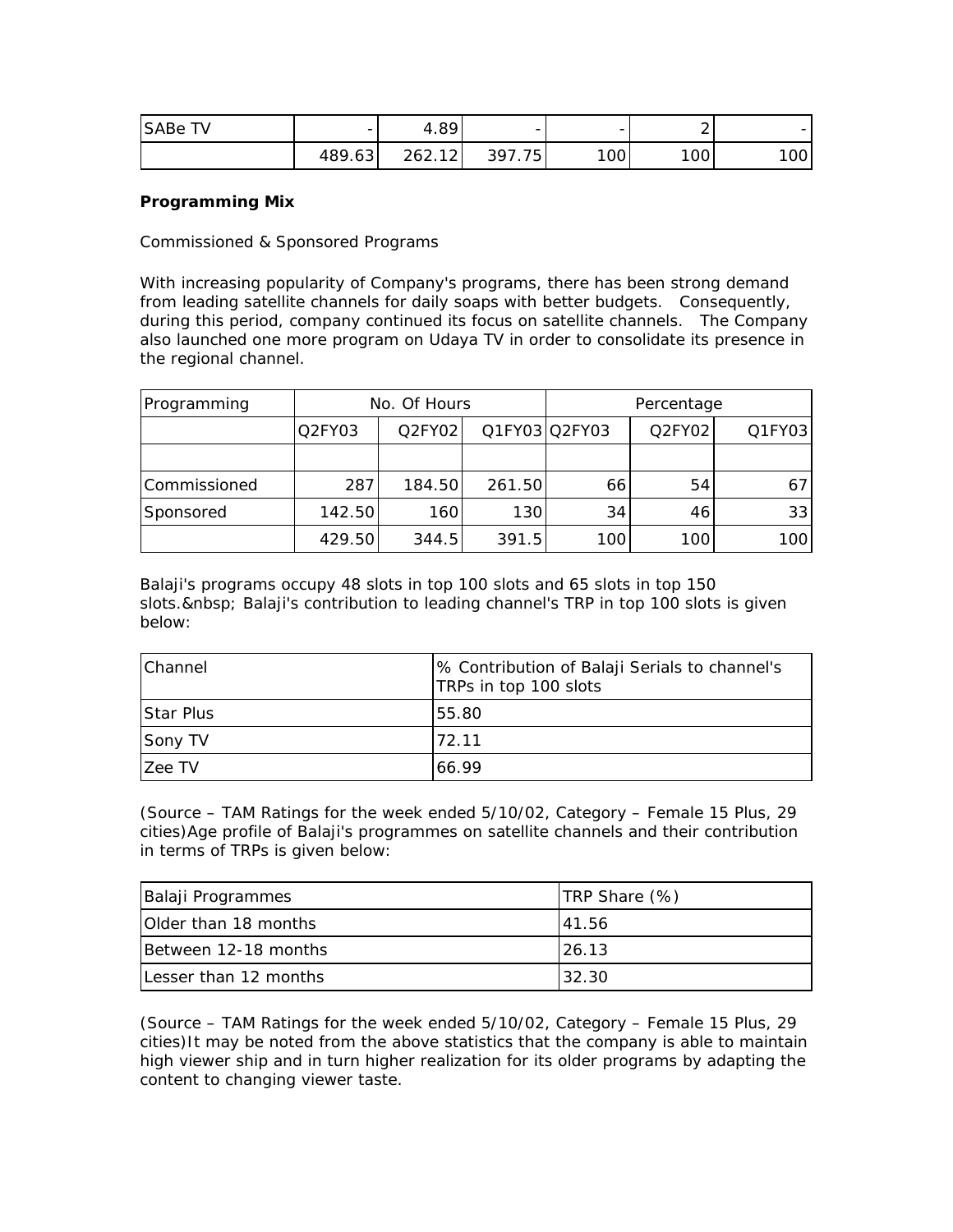| SABe<br>τv. | -      | 4.89   | $\overline{\phantom{0}}$ | -   | -   |     |
|-------------|--------|--------|--------------------------|-----|-----|-----|
|             | 489.63 | 262.12 | .75<br>397               | 100 | 100 | 100 |

## **Programming Mix**

Commissioned & Sponsored Programs

With increasing popularity of Company's programs, there has been strong demand from leading satellite channels for daily soaps with better budgets. Consequently, during this period, company continued its focus on satellite channels. The Company also launched one more program on Udaya TV in order to consolidate its presence in the regional channel.

| Programming  | No. Of Hours |        |        | Percentage    |        |        |
|--------------|--------------|--------|--------|---------------|--------|--------|
|              | Q2FY03       | Q2FY02 |        | Q1FY03 Q2FY03 | Q2FY02 | Q1FY03 |
|              |              |        |        |               |        |        |
| Commissioned | 287          | 184.50 | 261.50 | 66            | 54     | 67     |
| Sponsored    | 142.50       | 160    | 130    | 34            | 46     | 33     |
|              | 429.50       | 344.5  | 391.5  | 100           | 100    | 100    |

Balaji's programs occupy 48 slots in top 100 slots and 65 slots in top 150 slots. Balaji's contribution to leading channel's TRP in top 100 slots is given below:

| <b>Channel</b> | % Contribution of Balaji Serials to channel's<br>TRPs in top 100 slots |
|----------------|------------------------------------------------------------------------|
| Star Plus      | 55.80                                                                  |
| Sony TV        | 72.11                                                                  |
| Zee TV         | 66.99                                                                  |

*(Source – TAM Ratings for the week ended 5/10/02, Category – Female 15 Plus, 29 cities)*Age profile of Balaji's programmes on satellite channels and their contribution in terms of TRPs is given below:

| Balaji Programmes           | TRP Share (%) |
|-----------------------------|---------------|
| <b>Older than 18 months</b> | 41.56         |
| IBetween 12-18 months       | 26.13         |
| Lesser than 12 months       | 32.30         |

*(Source – TAM Ratings for the week ended 5/10/02, Category – Female 15 Plus, 29 cities)*It may be noted from the above statistics that the company is able to maintain high viewer ship and in turn higher realization for its older programs by adapting the content to changing viewer taste.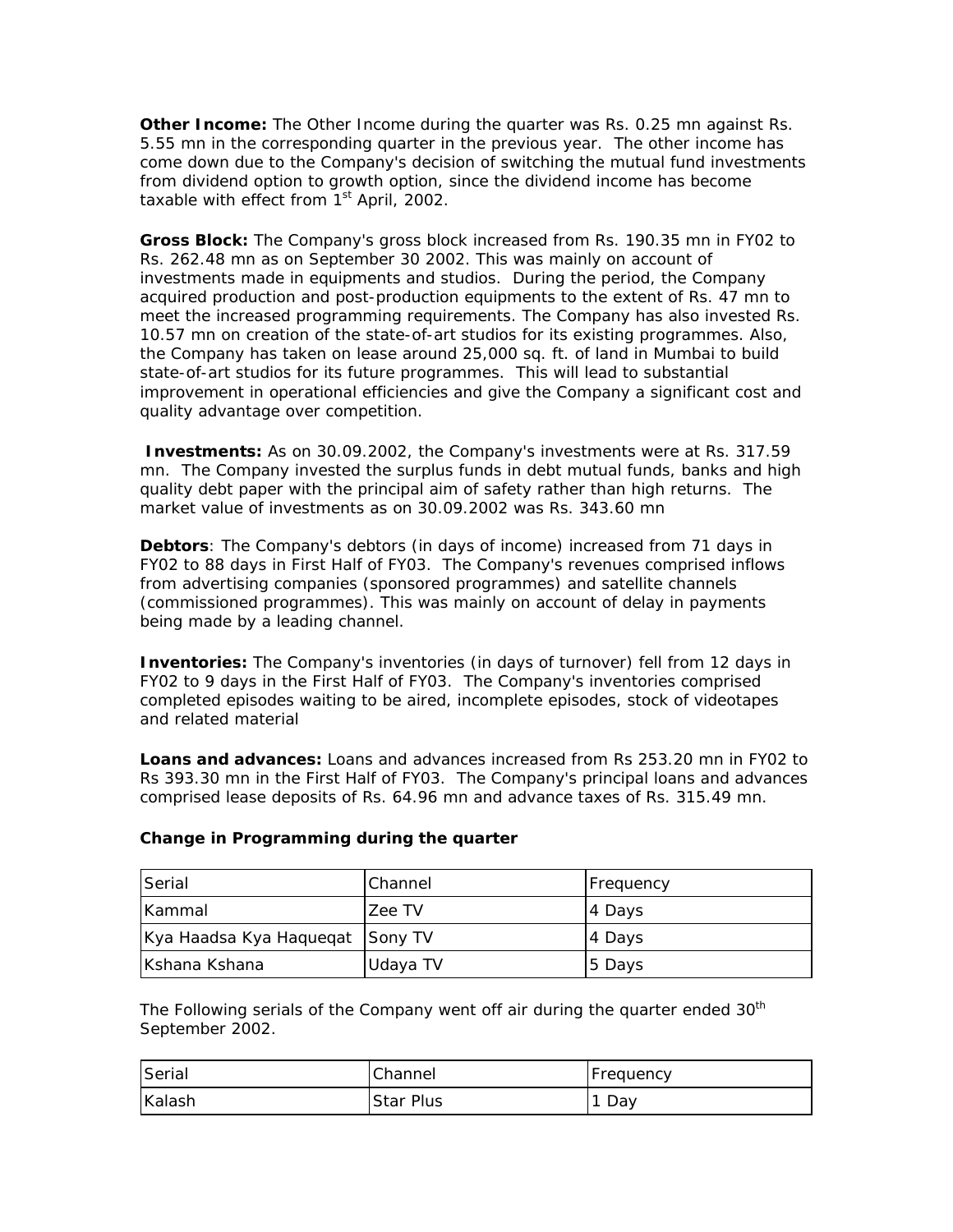**Other Income:** The Other Income during the quarter was Rs. 0.25 mn against Rs. 5.55 mn in the corresponding quarter in the previous year. The other income has come down due to the Company's decision of switching the mutual fund investments from dividend option to growth option, since the dividend income has become taxable with effect from  $1<sup>st</sup>$  April, 2002.

**Gross Block:** The Company's gross block increased from Rs. 190.35 mn in FY02 to Rs. 262.48 mn as on September 30 2002. This was mainly on account of investments made in equipments and studios. During the period, the Company acquired production and post-production equipments to the extent of Rs. 47 mn to meet the increased programming requirements. The Company has also invested Rs. 10.57 mn on creation of the state-of-art studios for its existing programmes. Also, the Company has taken on lease around 25,000 sq. ft. of land in Mumbai to build state-of-art studios for its future programmes. This will lead to substantial improvement in operational efficiencies and give the Company a significant cost and quality advantage over competition.

**Investments:** As on 30.09.2002, the Company's investments were at Rs. 317.59 mn. The Company invested the surplus funds in debt mutual funds, banks and high quality debt paper with the principal aim of safety rather than high returns. *The market value of investments as on 30.09.2002 was Rs. 343.60 mn*

**Debtors**: The Company's debtors (in days of income) increased from 71 days in FY02 to 88 days in First Half of FY03. The Company's revenues comprised inflows from advertising companies (sponsored programmes) and satellite channels (commissioned programmes). This was mainly on account of delay in payments being made by a leading channel.

**Inventories:** The Company's inventories (in days of turnover) fell from 12 days in FY02 to 9 days in the First Half of FY03. The Company's inventories comprised completed episodes waiting to be aired, incomplete episodes, stock of videotapes and related material

**Loans and advances:** Loans and advances increased from Rs 253.20 mn in FY02 to Rs 393.30 mn in the First Half of FY03. The Company's principal loans and advances comprised lease deposits of Rs. 64.96 mn and advance taxes of Rs. 315.49 mn.

| <b>Serial</b>                   | Channel  | Frequency |
|---------------------------------|----------|-----------|
| <b>IKammal</b>                  | Zee TV   | 4 Days    |
| Kya Haadsa Kya Haquegat Sony TV |          | 4 Days    |
| IKshana Kshana                  | Udaya TV | 15 Days   |

# **Change in Programming during the quarter**

The Following serials of the Company went off air during the quarter ended  $30<sup>th</sup>$ September 2002.

| <b>Serial</b> | Channel          | Frequency |
|---------------|------------------|-----------|
| Kalash        | <b>Star Plus</b> | Day       |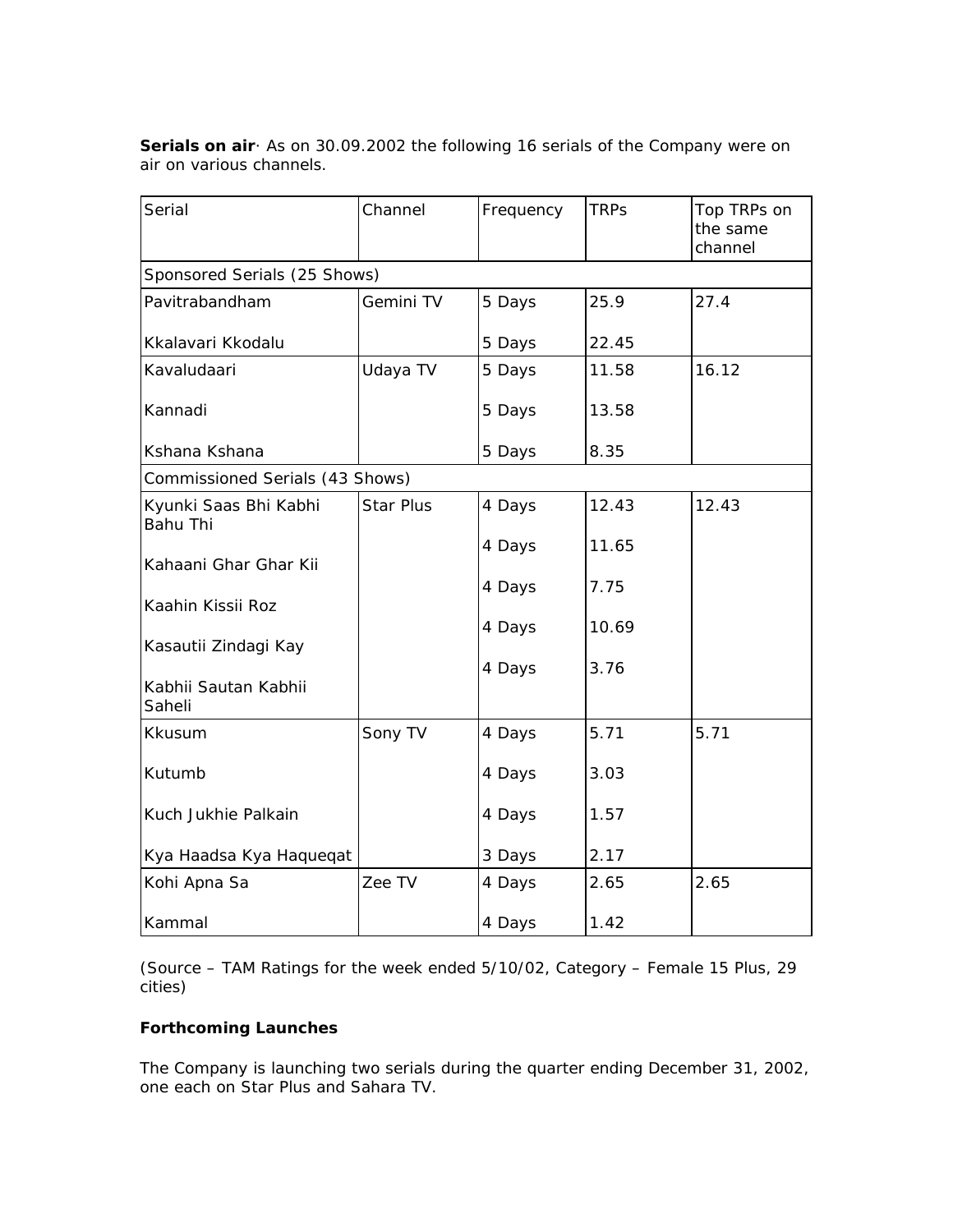| Serial                            | Channel   | Frequency | <b>TRPs</b> | Top TRPs on<br>the same<br>channel |
|-----------------------------------|-----------|-----------|-------------|------------------------------------|
| Sponsored Serials (25 Shows)      |           |           |             |                                    |
| Pavitrabandham                    | Gemini TV | 5 Days    | 25.9        | 27.4                               |
| Kkalavari Kkodalu                 |           | 5 Days    | 22.45       |                                    |
| Kavaludaari                       | Udaya TV  | 5 Days    | 11.58       | 16.12                              |
| Kannadi                           |           | 5 Days    | 13.58       |                                    |
| Kshana Kshana                     |           | 5 Days    | 8.35        |                                    |
| Commissioned Serials (43 Shows)   |           |           |             |                                    |
| Kyunki Saas Bhi Kabhi<br>Bahu Thi | Star Plus | 4 Days    | 12.43       | 12.43                              |
| Kahaani Ghar Ghar Kii             |           | 4 Days    | 11.65       |                                    |
| Kaahin Kissii Roz                 |           | 4 Days    | 7.75        |                                    |
| Kasautii Zindagi Kay              |           | 4 Days    | 10.69       |                                    |
|                                   |           | 4 Days    | 3.76        |                                    |
| Kabhii Sautan Kabhii<br>Saheli    |           |           |             |                                    |
| Kkusum                            | Sony TV   | 4 Days    | 5.71        | 5.71                               |
| Kutumb                            |           | 4 Days    | 3.03        |                                    |
| Kuch Jukhie Palkain               |           | 4 Days    | 1.57        |                                    |
| Kya Haadsa Kya Haqueqat           |           | 3 Days    | 2.17        |                                    |
| Kohi Apna Sa                      | Zee TV    | 4 Days    | 2.65        | 2.65                               |
| Kammal                            |           | 4 Days    | 1.42        |                                    |

**Serials on air**· As on 30.09.2002 the following 16 serials of the Company were on air on various channels.

*(Source – TAM Ratings for the week ended 5/10/02, Category – Female 15 Plus, 29 cities)*

# **Forthcoming Launches**

The Company is launching two serials during the quarter ending December 31, 2002, one each on Star Plus and Sahara TV.